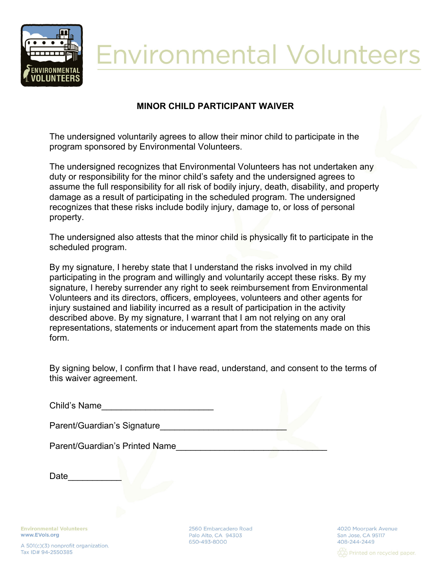

## **Environmental Volunteers**

## **MINOR CHILD PARTICIPANT WAIVER**

The undersigned voluntarily agrees to allow their minor child to participate in the program sponsored by Environmental Volunteers.

The undersigned recognizes that Environmental Volunteers has not undertaken any duty or responsibility for the minor child's safety and the undersigned agrees to assume the full responsibility for all risk of bodily injury, death, disability, and property damage as a result of participating in the scheduled program. The undersigned recognizes that these risks include bodily injury, damage to, or loss of personal property.

The undersigned also attests that the minor child is physically fit to participate in the scheduled program.

By my signature, I hereby state that I understand the risks involved in my child participating in the program and willingly and voluntarily accept these risks. By my signature, I hereby surrender any right to seek reimbursement from Environmental Volunteers and its directors, officers, employees, volunteers and other agents for injury sustained and liability incurred as a result of participation in the activity described above. By my signature, I warrant that I am not relying on any oral representations, statements or inducement apart from the statements made on this form.

By signing below, I confirm that I have read, understand, and consent to the terms of this waiver agreement.

| Child's Name |
|--------------|
|              |

Parent/Guardian's Signature

Parent/Guardian's Printed Name

Date\_

**Environmental Volunteers** www.EVols.org

A 501(c)(3) nonprofit organization. Tax ID# 94-2550385

2560 Embarcadero Road Palo Alto, CA 94303 650-493-8000

4020 Moorpark Avenue San Jose, CA 95117 408-244-2449